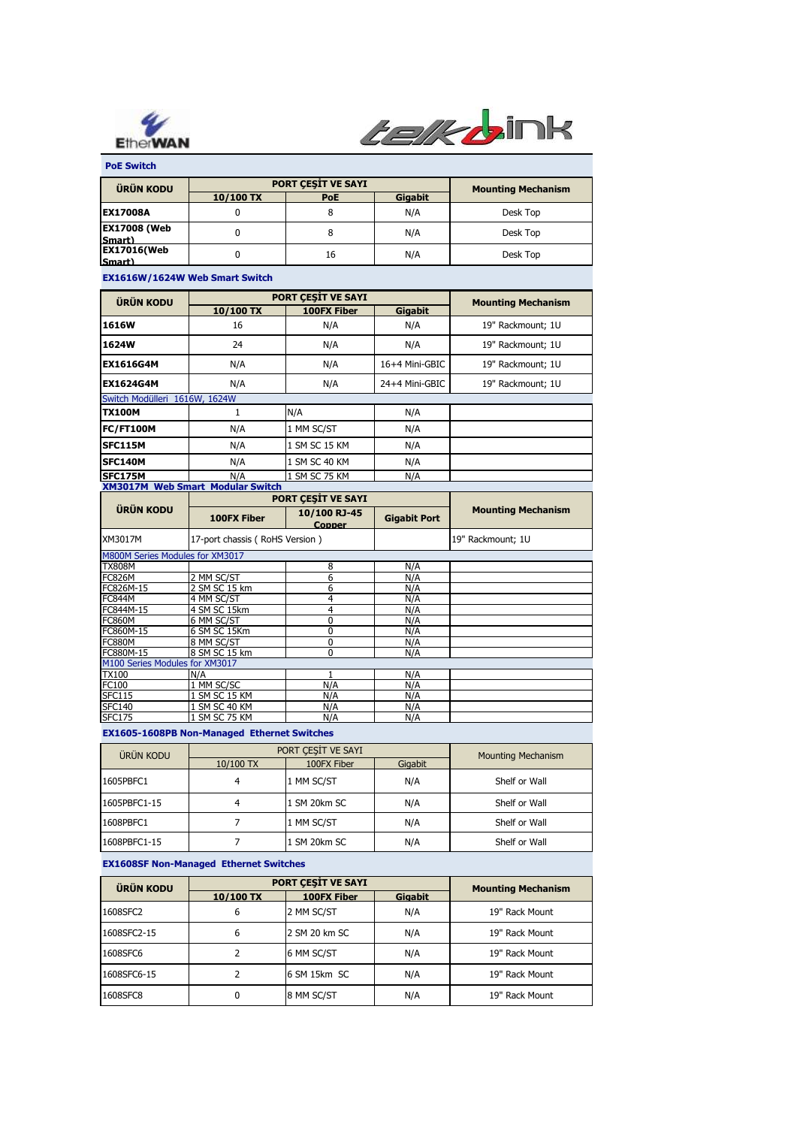



 **PoE Switch**

| <b>ÜRÜN KODU</b>              | PORT CESIT VE SAYI |            |         | <b>Mounting Mechanism</b> |
|-------------------------------|--------------------|------------|---------|---------------------------|
|                               | $10/100$ TX        | <b>PoE</b> | Gigabit |                           |
| <b>EX17008A</b>               |                    |            | N/A     | Desk Top                  |
| <b>EX17008 (Web</b><br>Smart) |                    |            | N/A     | Desk Top                  |
| <b>EX17016(Web</b><br>Smart)  |                    | 16         | N/A     | Desk Top                  |

## **EX1616W/1624W Web Smart Switch**

| <b>ÜRÜN KODU</b>                        | PORT CESIT VE SAYI |                    |                | <b>Mounting Mechanism</b> |  |
|-----------------------------------------|--------------------|--------------------|----------------|---------------------------|--|
|                                         | 10/100 TX          | <b>100FX Fiber</b> | <b>Gigabit</b> |                           |  |
| 1616W                                   | 16                 | N/A                | N/A            | 19" Rackmount; 1U         |  |
| 1624W                                   | 24                 | N/A                | N/A            | 19" Rackmount; 1U         |  |
| <b>EX1616G4M</b>                        | N/A                | N/A                | 16+4 Mini-GBIC | 19" Rackmount: 1U         |  |
| <b>EX1624G4M</b>                        | N/A                | N/A                | 24+4 Mini-GBIC | 19" Rackmount; 1U         |  |
| Switch Modülleri 1616W, 1624W           |                    |                    |                |                           |  |
| <b>TX100M</b>                           |                    | N/A                | N/A            |                           |  |
| FC/FT100M                               | N/A                | 1 MM SC/ST         | N/A            |                           |  |
| SFC115M                                 | N/A                | 1 SM SC 15 KM      | N/A            |                           |  |
| <b>SFC140M</b>                          | N/A                | 1 SM SC 40 KM      | N/A            |                           |  |
| SFC175M                                 | N/A                | 1 SM SC 75 KM      | N/A            |                           |  |
| <b>XM3017M Web Smart Modular Switch</b> |                    |                    |                |                           |  |

|                                 | <b>PORT CESIT VE SAYI</b>      |                        |                     |                           |
|---------------------------------|--------------------------------|------------------------|---------------------|---------------------------|
| <b>ÜRÜN KODU</b>                | 100FX Fiber                    | 10/100 RJ-45<br>Copper | <b>Gigabit Port</b> | <b>Mounting Mechanism</b> |
| XM3017M                         | 17-port chassis (RoHS Version) |                        |                     | 19" Rackmount; 1U         |
| M800M Series Modules for XM3017 |                                |                        |                     |                           |
| <b>TX808M</b>                   |                                | 8                      | N/A                 |                           |
| <b>FC826M</b>                   | 2 MM SC/ST                     | 6                      | N/A                 |                           |
| FC826M-15                       | 2 SM SC 15 km                  | 6                      | N/A                 |                           |
| <b>FC844M</b>                   | 4 MM SC/ST                     | 4                      | N/A                 |                           |
| FC844M-15                       | 4 SM SC 15km                   | 4                      | N/A                 |                           |
| <b>FC860M</b>                   | 6 MM SC/ST                     | 0                      | N/A                 |                           |
| FC860M-15                       | 6 SM SC 15Km                   | 0                      | N/A                 |                           |
| <b>FC880M</b>                   | 8 MM SC/ST                     | 0                      | N/A                 |                           |
| FC880M-15                       | 8 SM SC 15 km                  | 0                      | N/A                 |                           |
| M100 Series Modules for XM3017  |                                |                        |                     |                           |
| <b>TX100</b>                    | N/A                            |                        | N/A                 |                           |
| FC100                           | 1 MM SC/SC                     | N/A                    | N/A                 |                           |
| <b>SFC115</b>                   | 1 SM SC 15 KM                  | N/A                    | N/A                 |                           |
| <b>SFC140</b>                   | 1 SM SC 40 KM                  | N/A                    | N/A                 |                           |
| <b>SFC175</b>                   | 1 SM SC 75 KM                  | N/A                    | N/A                 |                           |

## **EX1605-1608PB Non-Managed Ethernet Switches**

| ÜRÜN KODU    | PORT CESIT VE SAYI |              |         | <b>Mounting Mechanism</b> |
|--------------|--------------------|--------------|---------|---------------------------|
|              | 10/100 TX          | 100FX Fiber  | Gigabit |                           |
| 1605PBFC1    | 4                  | 1 MM SC/ST   | N/A     | Shelf or Wall             |
| 1605PBFC1-15 | 4                  | 1 SM 20km SC | N/A     | Shelf or Wall             |
| 1608PBFC1    |                    | 1 MM SC/ST   | N/A     | Shelf or Wall             |
| 1608PBFC1-15 |                    | 1 SM 20km SC | N/A     | Shelf or Wall             |

## **EX1608SF Non-Managed Ethernet Switches**

| <b>ÜRÜN KODU</b> | PORT CESIT VE SAYI |               |                | <b>Mounting Mechanism</b> |
|------------------|--------------------|---------------|----------------|---------------------------|
|                  | 10/100 TX          | 100FX Fiber   | <b>Gigabit</b> |                           |
| 1608SFC2         | 6                  | 2 MM SC/ST    | N/A            | 19" Rack Mount            |
| 1608SFC2-15      | 6                  | 2 SM 20 km SC | N/A            | 19" Rack Mount            |
| 1608SFC6         |                    | 6 MM SC/ST    | N/A            | 19" Rack Mount            |
| 1608SFC6-15      |                    | 6 SM 15km SC  | N/A            | 19" Rack Mount            |
| 1608SFC8         | 0                  | 8 MM SC/ST    | N/A            | 19" Rack Mount            |